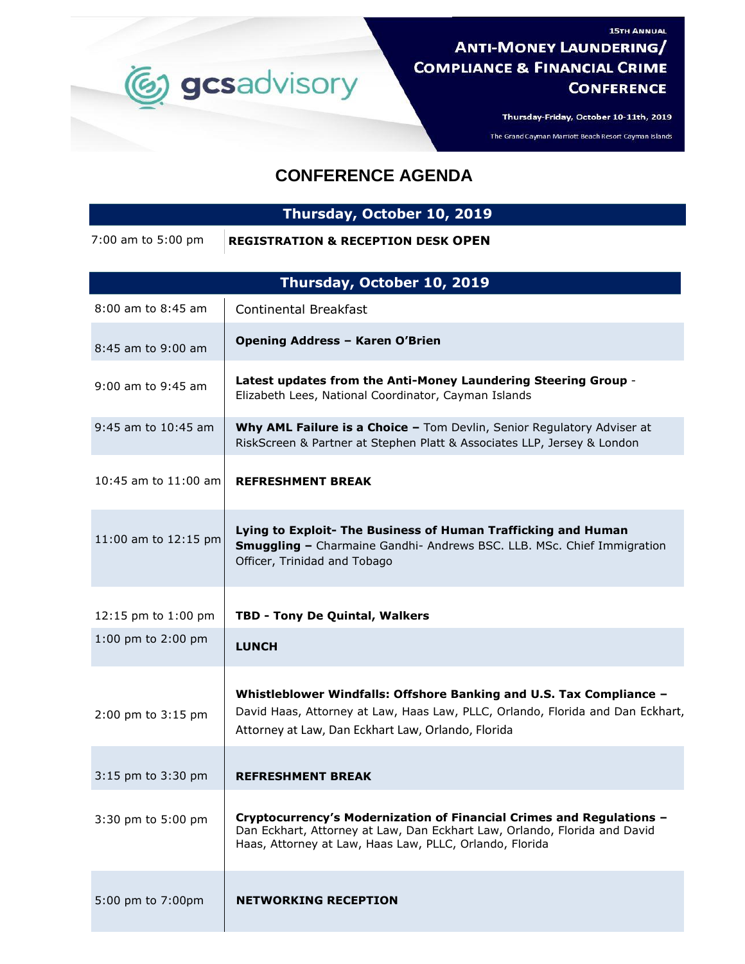

Thursday-Friday, October 10-11th, 2019

**15TH ANNUAL** 

The Grand Cayman Marriott Beach Resort Cayman Islands

## **CONFERENCE AGENDA**

## **Thursday, October 10, 2019**

7:00 am to 5:00 pm **REGISTRATION & RECEPTION DESK OPEN**

| Thursday, October 10, 2019 |                                                                                                                                                                                                              |
|----------------------------|--------------------------------------------------------------------------------------------------------------------------------------------------------------------------------------------------------------|
| 8:00 am to 8:45 am         | <b>Continental Breakfast</b>                                                                                                                                                                                 |
| 8:45 am to 9:00 am         | <b>Opening Address - Karen O'Brien</b>                                                                                                                                                                       |
| $9:00$ am to $9:45$ am     | Latest updates from the Anti-Money Laundering Steering Group -<br>Elizabeth Lees, National Coordinator, Cayman Islands                                                                                       |
| $9:45$ am to $10:45$ am    | Why AML Failure is a Choice - Tom Devlin, Senior Regulatory Adviser at<br>RiskScreen & Partner at Stephen Platt & Associates LLP, Jersey & London                                                            |
| 10:45 am to 11:00 am       | <b>REFRESHMENT BREAK</b>                                                                                                                                                                                     |
| 11:00 am to 12:15 pm       | Lying to Exploit- The Business of Human Trafficking and Human<br><b>Smuggling - Charmaine Gandhi- Andrews BSC. LLB. MSc. Chief Immigration</b><br>Officer, Trinidad and Tobago                               |
| 12:15 pm to 1:00 pm        | TBD - Tony De Quintal, Walkers                                                                                                                                                                               |
| 1:00 pm to 2:00 pm         | <b>LUNCH</b>                                                                                                                                                                                                 |
| 2:00 pm to 3:15 pm         | Whistleblower Windfalls: Offshore Banking and U.S. Tax Compliance -<br>David Haas, Attorney at Law, Haas Law, PLLC, Orlando, Florida and Dan Eckhart,<br>Attorney at Law, Dan Eckhart Law, Orlando, Florida  |
| 3:15 pm to 3:30 pm         | <b>REFRESHMENT BREAK</b>                                                                                                                                                                                     |
| 3:30 pm to 5:00 pm         | Cryptocurrency's Modernization of Financial Crimes and Regulations -<br>Dan Eckhart, Attorney at Law, Dan Eckhart Law, Orlando, Florida and David<br>Haas, Attorney at Law, Haas Law, PLLC, Orlando, Florida |
| 5:00 pm to 7:00pm          | <b>NETWORKING RECEPTION</b>                                                                                                                                                                                  |